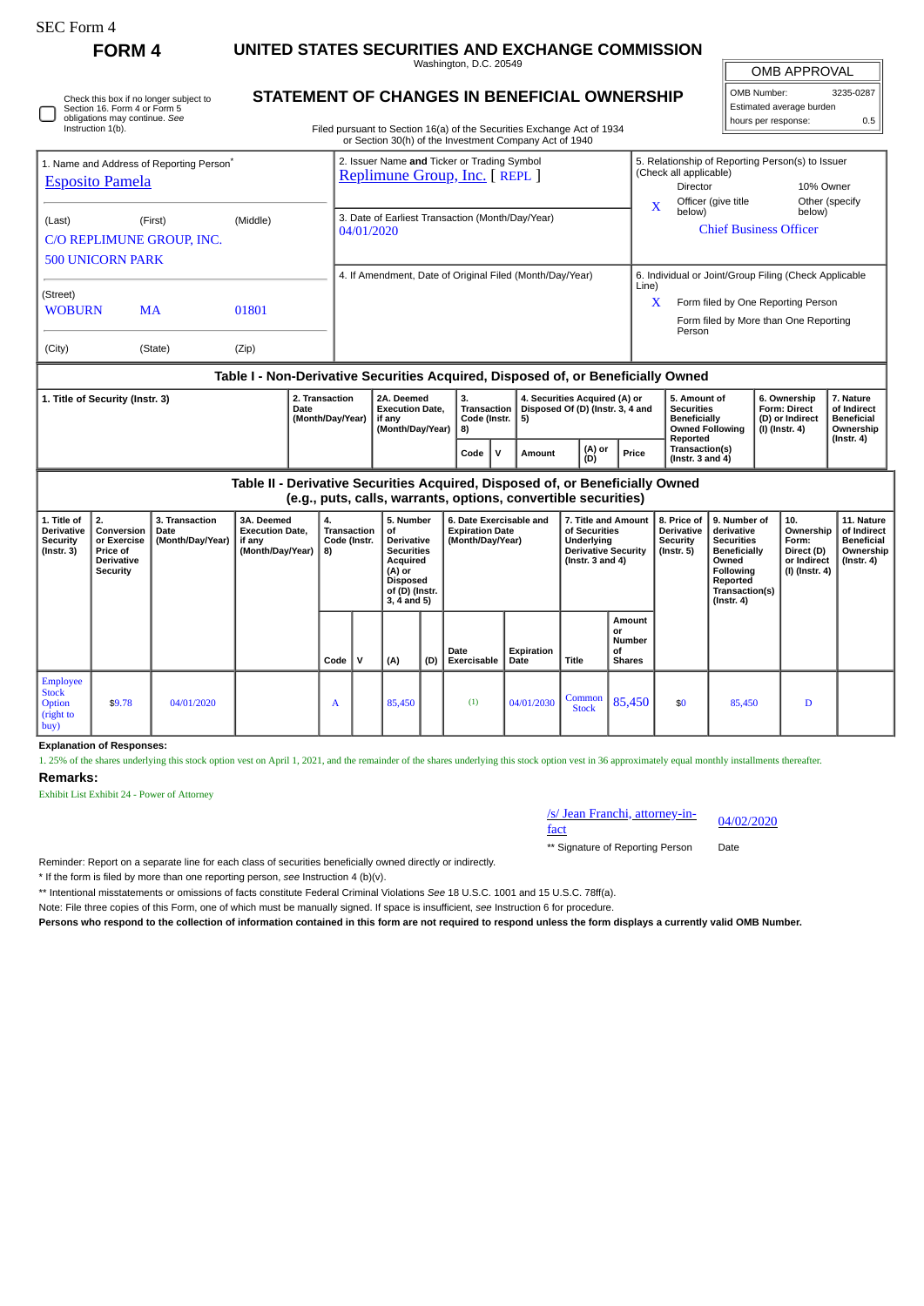| SEC Form 4 |  |
|------------|--|
|------------|--|

Employee Stock Option (right to buy)

**Remarks:**

**Explanation of Responses:**

Exhibit List Exhibit 24 - Power of Attorney

**FORM 4 UNITED STATES SECURITIES AND EXCHANGE COMMISSION**

Washington, D.C. 20549

 $\sqrt{ }$ OMB APPROVAL

| OMB Number:              | 3235-0287 |  |  |  |  |  |  |
|--------------------------|-----------|--|--|--|--|--|--|
| Estimated average burden |           |  |  |  |  |  |  |
| hours per response:      | 0.5       |  |  |  |  |  |  |

| О | Check this box if no longer subject to<br>Section 16. Form 4 or Form 5<br>obligations may continue. See<br>Instruction 1(b). |
|---|------------------------------------------------------------------------------------------------------------------------------|
|---|------------------------------------------------------------------------------------------------------------------------------|

## **STATEMENT OF CHANGES IN BENEFICIAL OWNERSHIP**

Filed pursuant to Section 16(a) of the Securities Exchange Act of 1934 or Section 30(h) of the Investment Company Act of 1940

| 1. Name and Address of Reporting Person <sup>®</sup><br><b>Esposito Pamela</b> |                                                                                                                                                                                                                     |                                      |                |                                                                                        | 2. Issuer Name and Ticker or Trading Symbol<br>Replimune Group, Inc. [ REPL ]                                                           |                                                                                                                                                                                                                          |      |                                                                                                                           |                            |               |                    |                                                                                                        |                               | 5. Relationship of Reporting Person(s) to Issuer<br>(Check all applicable)<br>Director<br>Officer (give title |                                                                                                                                                | 10% Owner<br>Other (specify |                                                                          |                                                                                 |  |
|--------------------------------------------------------------------------------|---------------------------------------------------------------------------------------------------------------------------------------------------------------------------------------------------------------------|--------------------------------------|----------------|----------------------------------------------------------------------------------------|-----------------------------------------------------------------------------------------------------------------------------------------|--------------------------------------------------------------------------------------------------------------------------------------------------------------------------------------------------------------------------|------|---------------------------------------------------------------------------------------------------------------------------|----------------------------|---------------|--------------------|--------------------------------------------------------------------------------------------------------|-------------------------------|---------------------------------------------------------------------------------------------------------------|------------------------------------------------------------------------------------------------------------------------------------------------|-----------------------------|--------------------------------------------------------------------------|---------------------------------------------------------------------------------|--|
| (Last)                                                                         | <b>500 UNICORN PARK</b>                                                                                                                                                                                             | (First)<br>C/O REPLIMUNE GROUP, INC. | (Middle)       |                                                                                        | 3. Date of Earliest Transaction (Month/Day/Year)<br>04/01/2020                                                                          |                                                                                                                                                                                                                          |      |                                                                                                                           |                            |               |                    | x<br>below)                                                                                            | <b>Chief Business Officer</b> |                                                                                                               | below)                                                                                                                                         |                             |                                                                          |                                                                                 |  |
| (Street)<br><b>WOBURN</b><br>(City)                                            |                                                                                                                                                                                                                     | <b>MA</b><br>(State)                 | 01801<br>(Zip) |                                                                                        |                                                                                                                                         | 4. If Amendment, Date of Original Filed (Month/Day/Year)<br>6. Individual or Joint/Group Filing (Check Applicable<br>Line)<br>Form filed by One Reporting Person<br>X<br>Form filed by More than One Reporting<br>Person |      |                                                                                                                           |                            |               |                    |                                                                                                        |                               |                                                                                                               |                                                                                                                                                |                             |                                                                          |                                                                                 |  |
|                                                                                | Table I - Non-Derivative Securities Acquired, Disposed of, or Beneficially Owned                                                                                                                                    |                                      |                |                                                                                        |                                                                                                                                         |                                                                                                                                                                                                                          |      |                                                                                                                           |                            |               |                    |                                                                                                        |                               |                                                                                                               |                                                                                                                                                |                             |                                                                          |                                                                                 |  |
| 2. Transaction<br>1. Title of Security (Instr. 3)<br>Date                      |                                                                                                                                                                                                                     |                                      |                | 2A. Deemed<br><b>Execution Date,</b><br>(Month/Day/Year)<br>if anv<br>(Month/Day/Year) |                                                                                                                                         |                                                                                                                                                                                                                          |      | 3.<br>4. Securities Acquired (A) or<br><b>Transaction</b><br>Disposed Of (D) (Instr. 3, 4 and<br>Code (Instr.<br>5)<br>8) |                            |               |                    |                                                                                                        |                               | Reported                                                                                                      | 5. Amount of<br><b>Securities</b><br><b>Beneficially</b><br><b>Owned Following</b>                                                             |                             | 6. Ownership<br><b>Form: Direct</b><br>(D) or Indirect<br>(I) (Instr. 4) | 7. Nature<br>of Indirect<br><b>Beneficial</b><br>Ownership<br>$($ Instr. 4 $)$  |  |
|                                                                                |                                                                                                                                                                                                                     |                                      |                |                                                                                        |                                                                                                                                         |                                                                                                                                                                                                                          | Code | v                                                                                                                         | Amount                     | (A) or<br>(D) |                    | Price                                                                                                  |                               | Transaction(s)<br>(Instr. $3$ and $4$ )                                                                       |                                                                                                                                                |                             |                                                                          |                                                                                 |  |
|                                                                                | Table II - Derivative Securities Acquired, Disposed of, or Beneficially Owned<br>(e.g., puts, calls, warrants, options, convertible securities)                                                                     |                                      |                |                                                                                        |                                                                                                                                         |                                                                                                                                                                                                                          |      |                                                                                                                           |                            |               |                    |                                                                                                        |                               |                                                                                                               |                                                                                                                                                |                             |                                                                          |                                                                                 |  |
| 1. Title of<br><b>Derivative</b><br>Security<br>(Instr. 3)                     | 2.<br>3. Transaction<br>3A. Deemed<br>4.<br>Conversion<br><b>Execution Date,</b><br>Date<br>or Exercise<br>(Month/Day/Year)<br>if any<br>(Month/Day/Year)<br>Price of<br>8)<br><b>Derivative</b><br><b>Security</b> |                                      |                | <b>Transaction</b><br>Code (Instr.                                                     | 5. Number<br>οf<br><b>Derivative</b><br><b>Securities</b><br>Acquired<br>(A) or<br><b>Disposed</b><br>of (D) (Instr.<br>$3, 4$ and $5)$ |                                                                                                                                                                                                                          |      | 6. Date Exercisable and<br><b>Expiration Date</b><br>(Month/Day/Year)                                                     |                            |               |                    | 7. Title and Amount<br>of Securities<br>Underlying<br><b>Derivative Security</b><br>( $lnstr.3$ and 4) |                               | 8. Price of<br><b>Derivative</b><br>Security<br>(Instr. 5)                                                    | 9. Number of<br>derivative<br><b>Securities</b><br><b>Beneficially</b><br>Owned<br>Following<br>Reported<br>Transaction(s)<br>$($ Instr. 4 $)$ |                             | 10.<br>Ownership<br>Form:<br>Direct (D)<br>or Indirect<br>(I) (Instr. 4) | 11. Nature<br>of Indirect<br><b>Beneficial</b><br>Ownership<br>$($ Instr. 4 $)$ |  |
|                                                                                |                                                                                                                                                                                                                     |                                      |                |                                                                                        | Code                                                                                                                                    | v                                                                                                                                                                                                                        | (A)  | (D)                                                                                                                       | Date<br><b>Exercisable</b> |               | Expiration<br>Date | Title                                                                                                  |                               | Amount<br>or<br>Number<br>οf<br><b>Shares</b>                                                                 |                                                                                                                                                |                             |                                                                          |                                                                                 |  |

|  |  | /s/ Jear                         |
|--|--|----------------------------------|
|  |  | fact<br>$\overline{\phantom{a}}$ |
|  |  |                                  |

n Franchi, attorney-in-

 $\begin{array}{|c|c|c|c|c|c|c|c|} \hline \text{Common} & 85,450 & \text{ } & 85,450 & \text{D} \ \hline \end{array}$ 

04/02/2020

\*\* Signature of Reporting Person Date

Reminder: Report on a separate line for each class of securities beneficially owned directly or indirectly.

\* If the form is filed by more than one reporting person, *see* Instruction 4 (b)(v).

\*\* Intentional misstatements or omissions of facts constitute Federal Criminal Violations *See* 18 U.S.C. 1001 and 15 U.S.C. 78ff(a).

 $\bullet$  \$9.78 04/01/2020  $\bullet$  A 85,450 (1) 04/01/2030 Common

Note: File three copies of this Form, one of which must be manually signed. If space is insufficient, *see* Instruction 6 for procedure.

**Persons who respond to the collection of information contained in this form are not required to respond unless the form displays a currently valid OMB Number.**

1. 25% of the shares underlying this stock option vest on April 1, 2021, and the remainder of the shares underlying this stock option vest in 36 approximately equal monthly installments thereafter.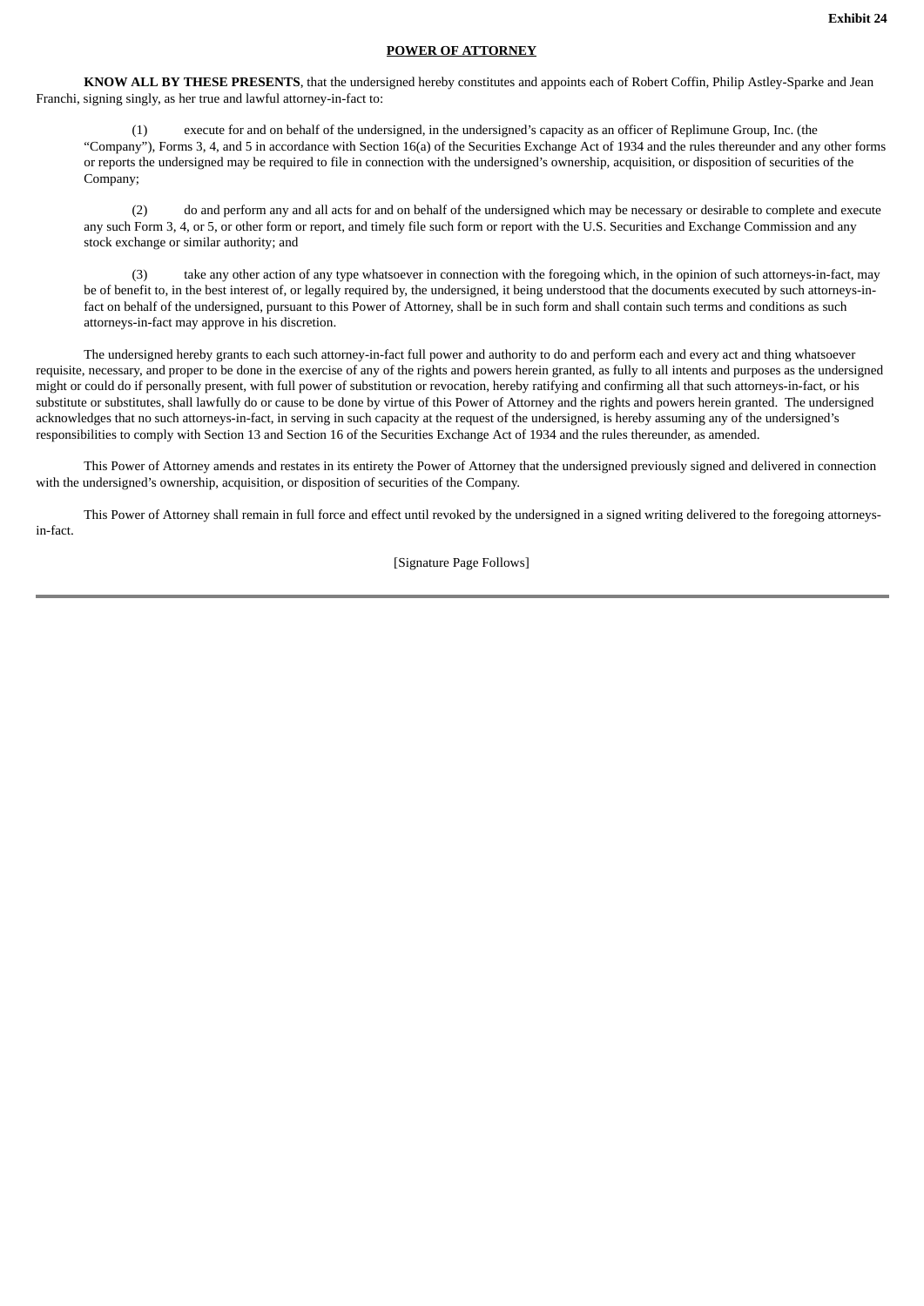## **POWER OF ATTORNEY**

**KNOW ALL BY THESE PRESENTS**, that the undersigned hereby constitutes and appoints each of Robert Coffin, Philip Astley-Sparke and Jean Franchi, signing singly, as her true and lawful attorney-in-fact to:

(1) execute for and on behalf of the undersigned, in the undersigned's capacity as an officer of Replimune Group, Inc. (the "Company"), Forms 3, 4, and 5 in accordance with Section 16(a) of the Securities Exchange Act of 1934 and the rules thereunder and any other forms or reports the undersigned may be required to file in connection with the undersigned's ownership, acquisition, or disposition of securities of the Company;

(2) do and perform any and all acts for and on behalf of the undersigned which may be necessary or desirable to complete and execute any such Form 3, 4, or 5, or other form or report, and timely file such form or report with the U.S. Securities and Exchange Commission and any stock exchange or similar authority; and

(3) take any other action of any type whatsoever in connection with the foregoing which, in the opinion of such attorneys-in-fact, may be of benefit to, in the best interest of, or legally required by, the undersigned, it being understood that the documents executed by such attorneys-infact on behalf of the undersigned, pursuant to this Power of Attorney, shall be in such form and shall contain such terms and conditions as such attorneys-in-fact may approve in his discretion.

The undersigned hereby grants to each such attorney-in-fact full power and authority to do and perform each and every act and thing whatsoever requisite, necessary, and proper to be done in the exercise of any of the rights and powers herein granted, as fully to all intents and purposes as the undersigned might or could do if personally present, with full power of substitution or revocation, hereby ratifying and confirming all that such attorneys-in-fact, or his substitute or substitutes, shall lawfully do or cause to be done by virtue of this Power of Attorney and the rights and powers herein granted. The undersigned acknowledges that no such attorneys-in-fact, in serving in such capacity at the request of the undersigned, is hereby assuming any of the undersigned's responsibilities to comply with Section 13 and Section 16 of the Securities Exchange Act of 1934 and the rules thereunder, as amended.

This Power of Attorney amends and restates in its entirety the Power of Attorney that the undersigned previously signed and delivered in connection with the undersigned's ownership, acquisition, or disposition of securities of the Company.

This Power of Attorney shall remain in full force and effect until revoked by the undersigned in a signed writing delivered to the foregoing attorneysin-fact.

[Signature Page Follows]